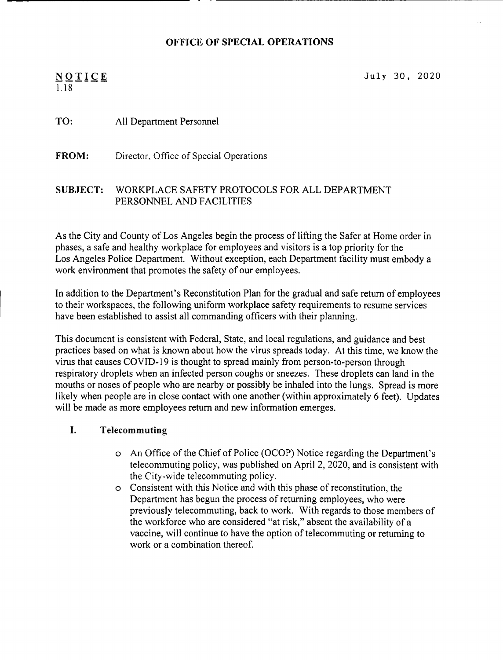#### OFFICE OF SPECIAL OPERATIONS

# 1.18

 $NQTICE$  July 30, 2020

#### TO: All Department Personnel

FROM: Director, Office of Special Operations

#### SUBJECT: WORKPLACE SAFETY PROTOCOLS FOR ALL DEPARTMENT PERSONNEL AND FACILITIES

As the City and County of Los Angeles begin the process of lifting the Safer at Home order in phases, a safe and healthy workplace for employees and visitors is a top priority for the Los Angeles Police Department. Without exception, each Department facility must embody a work environment that promotes the safety of our employees.

In addition to the Department's Reconstitution Plan for the gradual and safe return of employees to their workspaces, the following uniform workplace safety requirements to resume services have been established to assist all commanding officers with their planning.

This document is consistent with Federal, State, and local regulations, and guidance and best practices based on what is known about how the virus spreads today. At this time, we know the virus that causes COVID-19 is thought to spread mainly from person-to-person through respiratory droplets when an infected person coughs or sneezes. These droplets can land in the mouths or noses of people who are nearby or possibly be inhaled into the lungs. Spread is more likely when people are in close contact with one another (within approximately 6 feet). Updates will be made as more employees return and new information emerges.

#### I. Telecommuting

- o An Office of the ChiefofPolice (OCOP) Notice regarding the Department's telecommuting policy, was published on April 2, 2020, and is consistent with the City-wide telecommuting policy.
- o Consistent with this Notice and with this phase of reconstitution, the Department has begun the process of returning employees, who were previously telecommuting, back to work. With regards to those members of the workforce who are considered "at risk," absent the availability of a vaccine, will continue to have the option of telecommuting or returning to work or a combination thereof.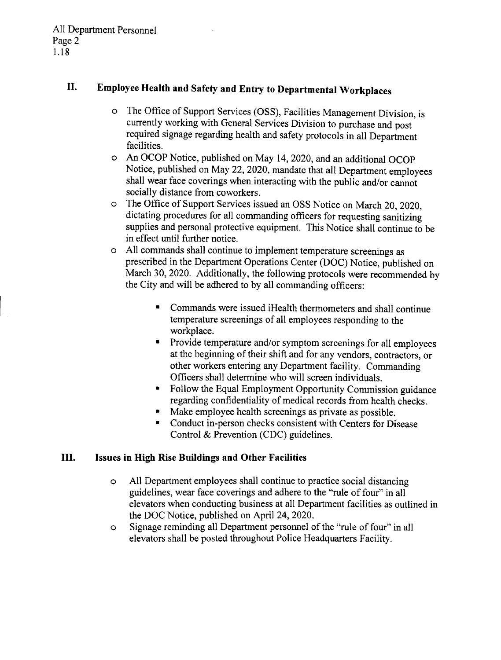# **II. Employee Health and Safety and Entry to Departmental Workplaces**

- o The Office of Support Services (OSS), Facilities Management Division, is currently working with General Services Division to purchase and post required signage regarding health and safety protocols in all Department facilities.
- o An OCOP Notice, published on May 14,2020, and an additional OCOP Notice, published on May 22, 2020, mandate that all Department employees shall wear face coverings when interacting with the public and/or cannot socially distance from coworkers.
- o The Office of Support Services issued an OSS Notice on March 20, 2020, dictating procedures for all commanding officers for requesting sanitizing supplies and personal protective equipment. This Notice shall continue to be in effect until further notice.
- o All commands shall continue to implement temperature screenings as prescribed in the Department Operations Center (DOC) Notice, published on March 30, 2020. Additionally, the following protocols were recommended by the City and will be adhered to by all commanding officers:
	- Commands were issued iHealth thermometers and shall continue temperature screenings of all employees responding to the workplace.
	- Provide temperature and/or symptom screenings for all employees at the beginning of their shift and for any vendors, contractors, or other workers entering any Department facility. Commanding Officers shall determine who will screen individuals.
	- Follow the Equal Employment Opportunity Commission guidance regarding confidentiality of medical records from health checks.
	- Make employee health screenings as private as possible.
	- Conduct in-person checks consistent with Centers for Disease Control & Prevention (CDC) guidelines.

### **III. Issues in High Rise Buildings and Other Facilities**

- o All Department employees shall continue to practice social distancing guidelines, wear face coverings and adhere to the "rule of four" in all elevators when conducting business at all Department facilities as outlined in the DOC Notice, published on April 24, 2020.
- o Signage reminding all Department personnel of the "rule of four" in all elevators shall be posted throughout Police Headquarters Facility.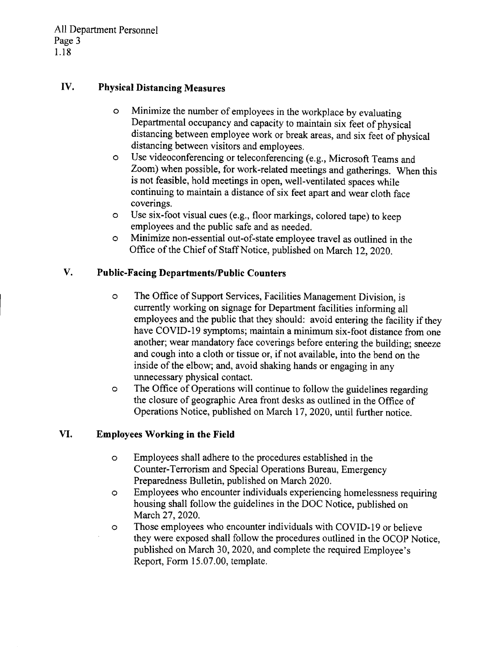## IV. Physical Distancing Measures

- o Minimize the number of employees in the workplace by evaluating Departmental occupancy and capacity to maintain six feet of physical distancing between employee work or break areas, and six feet of physical distancing between visitors and employees.
- o Use videoconferencing or teleconferencing (e.g., Microsoft Teams and Zoom) when possible, for work-related meetings and gatherings. When this is not feasible, hold meetings in open, well-ventilated spaces while continuing to maintain a distance of six feet apart and wear cloth face coverings.
- o Use six-foot visual cues (e.g., floor markings, colored tape) to keep employees and the public safe and as needed.
- o Minimize non-essential out-of-state employee travel as outlined in the Office of the Chief of Staff Notice, published on March 12,2020.

# V. Public-Facing Departments/Public Counters

- o The Office of Support Services, Facilities Management Division, is currently working on signage for Department facilities informing all employees and the public that they should: avoid entering the facility if they have COVID-19 symptoms; maintain a minimum six-foot distance from one another; wear mandatory face coverings before entering the building; sneeze and cough into a cloth or tissue or, if not available, into the bend on the inside of the elbow; and, avoid shaking hands or engaging in any unnecessary physical contact.
- o The Office of Operations will continue to follow the guidelines regarding the closure of geographic Area front desks as outlined in the Office of Operations Notice, published on March 17,2020, until further notice.

### VI. EmployeesWorking in the Field

- o Employees shall adhere to the procedures established in the Counter- Terrorism and Special Operations Bureau, Emergency Preparedness Bulletin, published on March 2020.
- o Employees who encounter individuals experiencing homelessness requiring housing shall follow the guidelines in the DOC Notice, published on March 27, 2020.
- o Those employees who encounter individuals with COVID-19 or believe they were exposed shall follow the procedures outlined in the OCOP Notice, published on March 30, 2020, and complete the required Employee's Report, Form 15.07.00, template.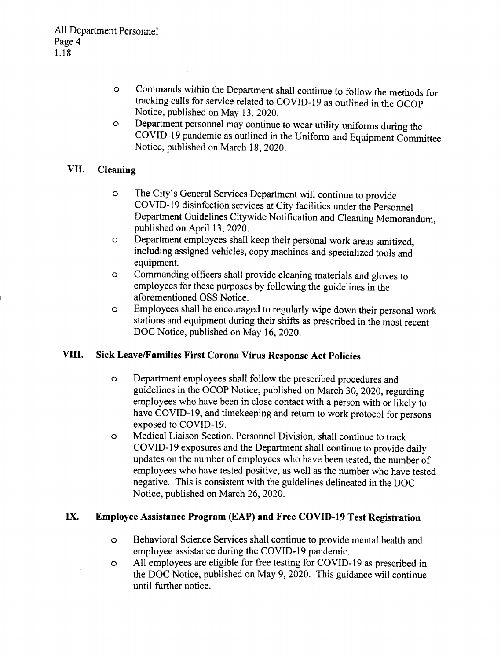- o Commands within the Department shall continue to follow the methods for tracking calls for service related to COVID-19 as outlined in the OCOP Notice, published on May 13,2020.
- o Department personnel may continue to wear utility uniforms during the COVID-19 pandemic as outlined in the Uniform and Equipment Committee Notice, published on March 18, 2020.

# **VII. Cleaning**

- o The City's General Services Department will continue to provide COVID-19 disinfection services at City facilities under the Personnel Department Guidelines Citywide Notification and Cleaning Memorandum, published on April 13,2020.
- o Department employees shall keep their personal work areas sanitized, including assigned vehicles, copy machines and specialized tools and equipment.
- o Commanding officers shall provide cleaning materials and gloves to employees for these purposes by following the guidelines in the aforementioned OSS Notice.
- o Employees shall be encouraged to regularly wipe down their personal work stations and equipment during their shifts as prescribed in the most recent DOC Notice, published on May 16, 2020.

### **VIII. Sick LeavelFamilies First Corona Virus Response Act Policies**

- o Department employees shall follow the prescribed procedures and guidelines in the OCOP Notice, published on March 30, 2020, regarding employees who have been in close contact with a person with or likely to have COVID-19, and timekeeping and return to work protocol for persons exposed to COVID-19.
- o Medical Liaison Section, Personnel Division, shall continue to track COVID-19 exposures and the Department shall continue to provide daily updates on the number of employees who have been tested, the number of employees who have tested positive, as well as the number who have tested negative. This is consistent with the guidelines delineated in the DOC Notice, published on March 26, 2020.

### **IX. Employee Assistance Program (EAP) and Free COVID-19 Test Registration**

- o Behavioral Science Services shall continue to provide mental health and employee assistance during the COVID-19 pandemic.
- o All employees are eligible for free testing for COVID-19 as prescribed in the DOC Notice, published on May 9, 2020. This guidance will continue until further notice.